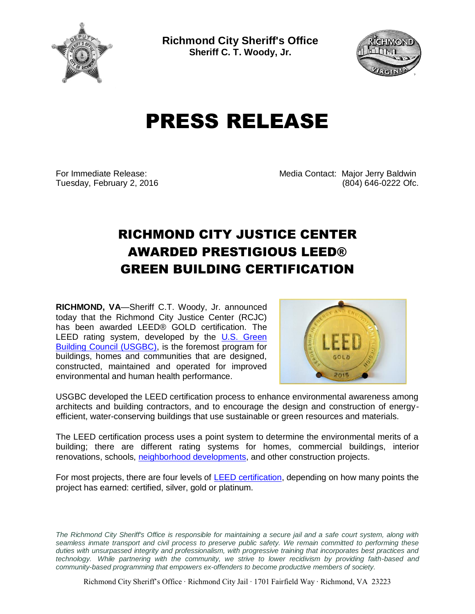

**Richmond City Sheriff's Office Sheriff C. T. Woody, Jr.**



## PRESS RELEASE

For Immediate Release: Media Contact: Major Jerry Baldwin Tuesday, February 2, 2016 (804) 646-0222 Ofc.

## RICHMOND CITY JUSTICE CENTER AWARDED PRESTIGIOUS LEED® GREEN BUILDING CERTIFICATION

**RICHMOND, VA**—Sheriff C.T. Woody, Jr. announced today that the Richmond City Justice Center (RCJC) has been awarded LEED® GOLD certification. The LEED rating system, developed by the U.S. Green [Building Council \(USGBC\),](http://greenliving.about.com/od/architecturedesign/a/USGBC-Green-Building-Design.htm) is the foremost program for buildings, homes and communities that are designed, constructed, maintained and operated for improved environmental and human health performance.



USGBC developed the LEED certification process to enhance environmental awareness among architects and building contractors, and to encourage the design and construction of energyefficient, water-conserving buildings that use sustainable or green resources and materials.

The LEED certification process uses a point system to determine the environmental merits of a building; there are different rating systems for homes, commercial buildings, interior renovations, schools, [neighborhood developments,](http://sustainability.about.com/od/LEED/a/LEED-For-Neighborhood-Development.htm) and other construction projects.

For most projects, there are four levels of [LEED certification,](http://sustainability.about.com/od/LEED/a/How-To-Mess-Up-Your-Leed-Rating.htm) depending on how many points the project has earned: certified, silver, gold or platinum.

*The Richmond City Sheriff's Office is responsible for maintaining a secure jail and a safe court system, along with seamless inmate transport and civil process to preserve public safety. We remain committed to performing these duties with unsurpassed integrity and professionalism, with progressive training that incorporates best practices and technology. While partnering with the community, we strive to lower recidivism by providing faith-based and community-based programming that empowers ex-offenders to become productive members of society.*